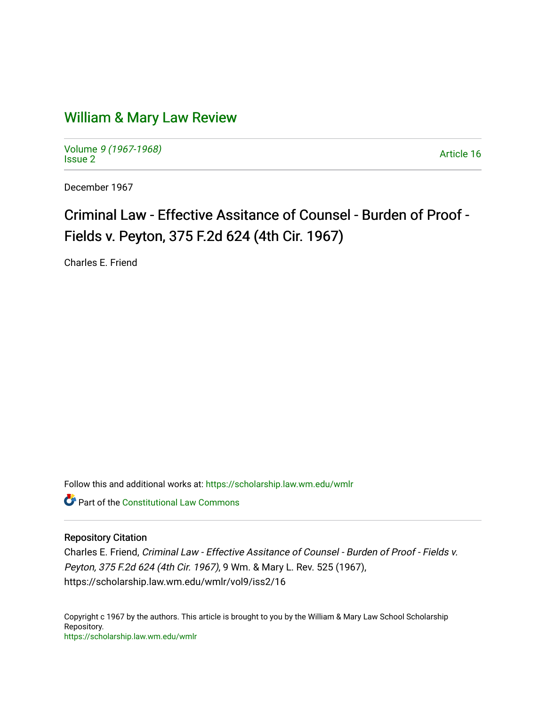# [William & Mary Law Review](https://scholarship.law.wm.edu/wmlr)

Volume [9 \(1967-1968\)](https://scholarship.law.wm.edu/wmlr/vol9)  Notative 9 (1907-1906)<br>[Issue 2](https://scholarship.law.wm.edu/wmlr/vol9/iss2) Article 16

December 1967

# Criminal Law - Effective Assitance of Counsel - Burden of Proof -Fields v. Peyton, 375 F.2d 624 (4th Cir. 1967).

Charles E. Friend

Follow this and additional works at: [https://scholarship.law.wm.edu/wmlr](https://scholarship.law.wm.edu/wmlr?utm_source=scholarship.law.wm.edu%2Fwmlr%2Fvol9%2Fiss2%2F16&utm_medium=PDF&utm_campaign=PDFCoverPages)

**Part of the Constitutional Law Commons** 

## Repository Citation

Charles E. Friend, Criminal Law - Effective Assitance of Counsel - Burden of Proof - Fields v. Peyton, 375 F.2d 624 (4th Cir. 1967), 9 Wm. & Mary L. Rev. 525 (1967), https://scholarship.law.wm.edu/wmlr/vol9/iss2/16

Copyright c 1967 by the authors. This article is brought to you by the William & Mary Law School Scholarship Repository. <https://scholarship.law.wm.edu/wmlr>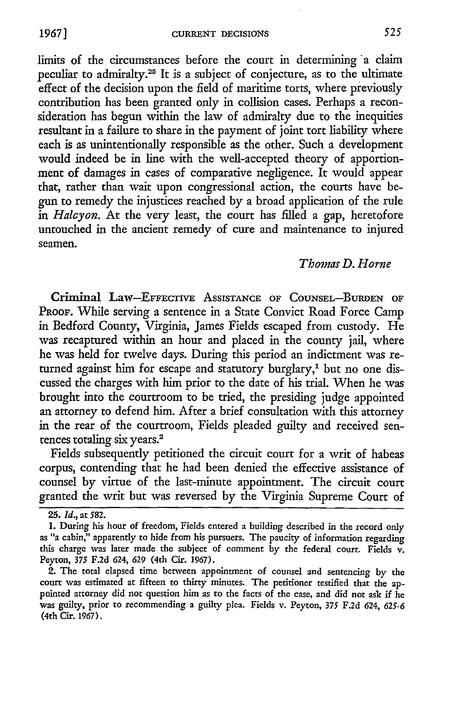limits of the circumstances before the court in determining a claim peculiar to admiralty.2s It is a subject of conjecture, as to the ultimate effect of the decision upon the field of maritime torts, where previously contribution has been granted only in collision cases. Perhaps a reconsideration has begun within the law of admiralty due to the inequities resultant in a failure to share in the payment of joint tort liability where each is as unintentionally responsible as the other. Such a development would indeed be in line with the well-accepted theory of apportionment of damages in cases of comparative negligence. It would appear that, rather than wait upon congressional action, the courts have begun to remedy the injustices reached by a broad application of the rule *in Halcyon.* At the very least, the court has filled a gap, heretofore untouched in the ancient remedy of cure and maintenance to injured seamen.

#### *Thomas D. Home*

Criminal Law-EFFECTIVE ASSISTANCE OF COUNSEL-BURDEN OF PROOF. While serving a sentence in a State Convict Road Force Camp in Bedford County, Virginia, James Fields escaped from custody. He was recaptured within an hour and placed in the county jail, where he was held for twelve days. During this period an indictment was returned against him for escape and statutory burglary,<sup>1</sup> but no one discussed the charges with him prior to the date of his trial. When he was brought into the courtroom to be tried, the presiding judge appointed an attorney to defend him. After a brief consultation with this attorney in the rear of the courtroom, Fields pleaded guilty and received sentences totaling six years.<sup>2</sup>

Fields subsequently petitioned the circuit court for a writ of habeas corpus, contending that he had been denied the effective assistance of counsel **by** virtue of the last-minute appointment. The circuit court granted the writ but was reversed **by** the Virginia Supreme Court of

**<sup>25.</sup>** *Id.,* at 582.

<sup>.</sup> During his hour of freedom, Fields entered a building described in the record only as "a cabin," apparently to hide from his pursuers. The paucity of information regarding this charge was later made the subject of comment by the federal court. Fields v. Peyton, *375* F.2d 624, 629 (4th Cir. 1967).

<sup>2.</sup> The total elapsed time between appointment of counsel and sentencing **by** the court was estimated at fifteen to thirty minutes. The petitioner testified that the appointed attorney did not question him as to the facts of the case, and did not ask if he was guilty, prior to recommending a guilty plea. Fields v. Peyton, 375 F.2d 624, *625-6* (4th Cir. 1967).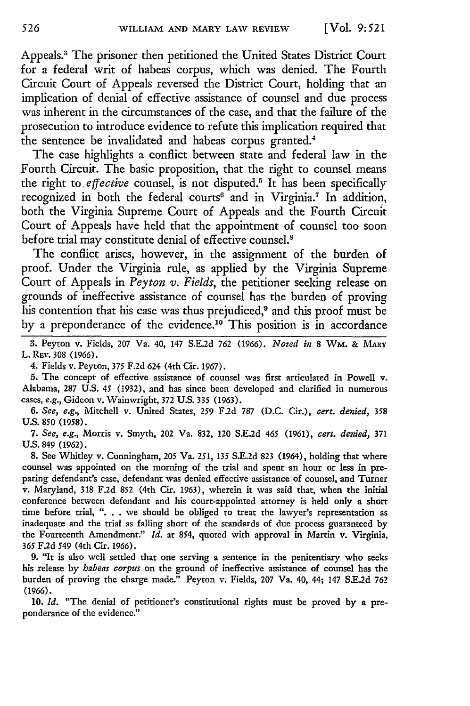Appeals.3 The prisoner then petitioned the United States District Court for a federal writ of habeas corpus, which was denied. The Fourth Circuit Court of Appeals reversed the District Court, holding that an implication of denial of effective assistance of counsel and due process was inherent in the circumstances of the case, and that the failure of the prosecution to introduce evidence to refute this implication required that the sentence be invalidated and habeas corpus granted.<sup>4</sup>

The case highlights a conflict between state and federal law in the Fourth Circuit. The basic proposition, that the right to counsel means the right *to. effective* counsel, is not disputed.' It has been specifically recognized in both the federal courts<sup>6</sup> and in Virginia.<sup>7</sup> In addition, both the Virginia Supreme Court of Appeals and the Fourth Circuit Court of Appeals have held that the appointment of counsel too soon before trial may constitute denial of effective counsel.<sup>8</sup>

The conflict arises, however, in the assignment of the burden of proof. Under the Virginia rule, as applied by the Virginia Supreme Court of Appeals in *Peyton v. Fields,* the petitioner seeking release on grounds of ineffective assistance of counsel has the burden of proving his contention that his case was thus prejudiced,<sup>9</sup> and this proof must be by a preponderance of the evidence.<sup>10</sup> This position is in accordance

3. Peyton v. Fields, 207 Va. 40, 147 S.E.2d 762 (1966). *Noted in* 8 WM. & **MARY** L. REv. **308 (1966).**

4. Fields v. Peyton, **375** F.2d 624 (4th Cir. 1967).

**5.** The concept of effective assistance of counsel was first articulated in Powell v. Alabama, 287 U.S. 45 (1932), and has since been developed and clarified in numerous cases, *e.g.,* Gideon v. Wainwright, 372 U.S. **335** (1963).

*6. See, e.g.,* Mitchell v. United States, 259 F.2d 787 (D.C. Cir.), *cert. denied, 358* **U.S.** 850 **(1958).**

*7. See, e.g.,* Morris v. Smyth, 202 Va. 832, 120 S.E.2d *465* **(1961),** *cert. denied,* **371 U.S.** 849 (1962).

8. See Whitley v. Cunningham, 205 Va. 251, **135** S.E.2d **823** (1964), holding that where counsel was appointed on the morning of the trial and spent an hour or less in preparing defendant's case, defendant was denied effective assistance of counsel, and Turner v. Maryland, **318** F.2d 852 (4th Cit. 1963), wherein it was said that, when the initial conference between defendant and his court-appointed attorney is held only a short time before trial, ". . . we should be obliged to treat the lawyer's representation as inadequate and the trial as falling short of the standards of due process guaranteed by the Fourteenth Amendment." *Id.* at 854, quoted with approval in Martin v. Virginia, **365** F.2d 549 (4th Cir. 1966).

**9.** "It is also well settled that one serving a sentence in the penitentiary who seeks his release by *habeas corpus* on the ground of ineffective assistance of counsel has the burden of proving the charge made." Peyton v. Fields, 207 Va. 40, 44; 147 S.E.2d **762** (1966).

10. *Id.* "The denial of petitioner's constitutional rights must **be** proved by a preponderance of the evidence."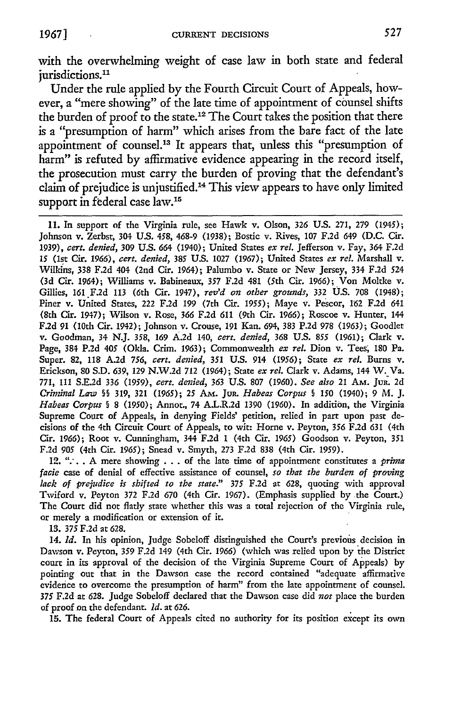with the overwhelming weight of case law in both state and federal jurisdictions.<sup>11</sup>

Under the rule applied by the Fourth Circuit Court of Appeals, however, a "mere showing" of the late time of appointment of counsel shifts the burden of proof to the state. 12 The Court takes the position that there is a "presumption of harm" which arises from the bare fact of the late appointment of counsel.13 It appears that, unless this "presumption of harm" is refuted by affirmative evidence appearing in the record itself, the prosecution must carry the burden of proving that the defendant's claim of prejudice is unjustified. 4 This view appears to have only limited support in federal case law.<sup>15</sup>

**11.** In support of the Virginia rule, see Hawk v. Olson, 326 U.S. 271, 279 (1945); Johnson v. Zerbst, 304 **U.S.** *458,* 468-9 (1938); Bostic v. Rives, 107 F.2d 649 (D.C. Cir. **1939),** *cert. denied,* 309 U.S. 664 (1940); United States *ex* rel. Jefferson v. Fay, 364 F.2d 15 (1st Cir. *1966), cert. denied,* 385 U.S. 1027 (1967); United States *ex* rel. Marshall v. Wilkins, 338 F.2d 404 (2nd Cir. 1964); Palumbo v. State or New Jersey, 334 F.2d 524 **(3d** Cir. 1964); Williams v. Babineaux, 357 F.2d 481 (5th Cit. 1966); Von Moltke v. Gillies, 161 F.2d 113 (6th Cir. 1947), reV'd on other *grounds,* 332 **U.S.** 708 (1948); Piner v. United States, 222 F.2d 199 (7th Cir. 1955); Maye v. Pescor, 162 F.2d 641 (8th Cir. 1947); Wilson v. Rose, *366* F.2d **611** (9th Cir. 1966); Roscoe v. Hunter, 144 F.2d 91 (10th Cir. 1942); Johnson v. Crouse, 191 Kan. 694, 383 P.2d 978 (1963); Goodlet v. Goodman, 34 N.J. *358, 169* A.2d 140, *cert. denied, 368* U.S. 855 (1961); Clark v. Page, 384 P.2d 405 (Okla. Crim. 1963); Commonwealth ex rel. Dion v. Tees, 180 Pa. Super. 82, 118 A.2d *756, cert. denied,* 351 U.S. 914 (1956); State *ex* rel. Burns v. Erickson, 80 **S.D.** 639, 129 N.W.2d 712 (1964); State ex rel. Clark v. Adams, 144 W. Va. 771, 111 **S.E.2d** *336* **(1959),** cert. *denied, 363* U.S. 807 (1960). See also 21 AM. JuR. 2d Criminal Law §§ 319, 321 (1965); **25** AM. JUR. Habeas Corpus § 150 (1940); 9 M. J. *Habeas Corpus* § 8 (1950); Annot., 74 **AJL.R.2d** 1390 (1960). In addition, the Virginia Supreme Court of Appeals, in denying Fields' petition, relied in part upon past decisions of the 4th Circuit Court of Appeals, to wit: Horne v. Peyton, 356 F.2d 631 (4th Cir. 1966); Root v. Cunningham, 344 F.2d 1 (4th Cir. 1965) Goodson v. Peyton, 351 F.2d 905 (4th Cir. 1965); Snead v. Smyth, 273 F.2d 838 (4th Cit. 1959).

12. **".-.. A** mere showing **,** . . of the late time of appointment constitutes a prima facie case of denial of effective assistance of counsel, *so that* the burden of proving *lack of prejudice is shifted to the state."* 375 F.2d at 628, quoting with approval Twiford v. Peyton 372 F.2d 670 (4th Cir. 1967). (Emphasis supplied by the Court.) The Court did not flatly state whether this was a total rejection of the Virginia rule, or merely a modification or extension of it.

**13.** 375 F.2d at 628.

14. **Id.** In his opinion, Judge Sobeloff distinguished the Court's previous decision in Dawson v. Peyton, 359 F.2d 149 (4th Cir. 1966) (which was relied upon by the District court in its approval of the decision of the Virginia Supreme Court of Appeals) by pointing out that in the Dawson case the record contained "adequate affirmative evidence to overcome the presumption of harm" from the late appointment of counsel. 375 F.2d at 628. Judge Sobeloff declared that the Dawson case did *not* place the burden of proof on the defendant. *Id.* at 626.

**15.** The federal Court of Appeals cited no authority for its position except its own